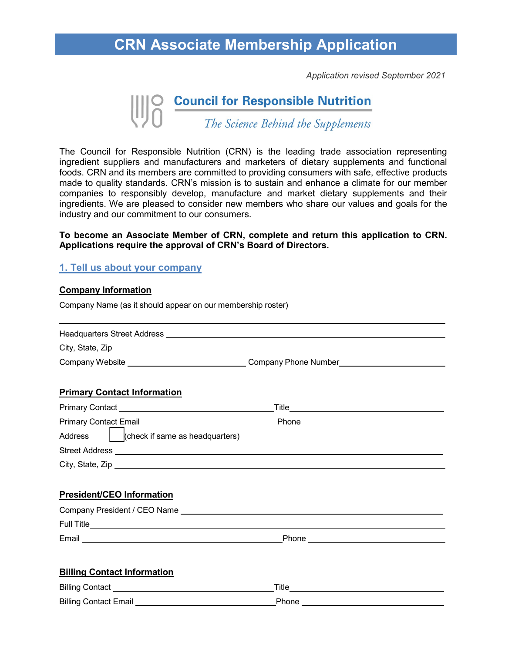## **CRN Associate Membership Application**

*Application revised September 2021*

# **Council for Responsible Nutrition**<br>The Science Behind the Supplements

The Council for Responsible Nutrition (CRN) is the leading trade association representing ingredient suppliers and manufacturers and marketers of dietary supplements and functional foods. CRN and its members are committed to providing consumers with safe, effective products made to quality standards. CRN's mission is to sustain and enhance a climate for our member companies to responsibly develop, manufacture and market dietary supplements and their ingredients. We are pleased to consider new members who share our values and goals for the industry and our commitment to our consumers.

#### **To become an Associate Member of CRN, complete and return this application to CRN. Applications require the approval of CRN's Board of Directors.**

### **1. Tell us about your company**

#### **Company Information**

l

Company Name (as it should appear on our membership roster)

| Headquarters Street Address |                      |  |
|-----------------------------|----------------------|--|
| City, State, Zip            |                      |  |
| Company Website             | Company Phone Number |  |

#### **Primary Contact Information**

| <b>Primary Contact</b>                     | Title |
|--------------------------------------------|-------|
| <b>Primary Contact Email</b>               | Phone |
| (check if same as headquarters)<br>Address |       |
| <b>Street Address</b>                      |       |
| City, State, Zip                           |       |

#### **President/CEO Information**

| Company President / CEO Name |       |
|------------------------------|-------|
| <b>Full Title</b>            |       |
| Email                        | Phone |

#### **Billing Contact Information**

| <b>Billing Contact</b>       | Title |
|------------------------------|-------|
| <b>Billing Contact Email</b> |       |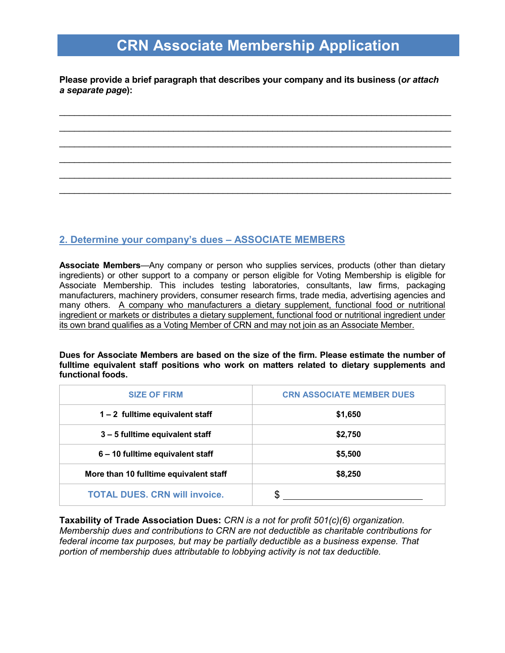# **CRN Associate Membership Application**

**Please provide a brief paragraph that describes your company and its business (***or attach a separate page***):**

\_\_\_\_\_\_\_\_\_\_\_\_\_\_\_\_\_\_\_\_\_\_\_\_\_\_\_\_\_\_\_\_\_\_\_\_\_\_\_\_\_\_\_\_\_\_\_\_\_\_\_\_\_\_\_\_\_\_\_\_\_\_\_\_\_\_\_\_\_\_\_\_\_\_\_\_\_\_\_  $\mathcal{L}_\text{max}$  , and the contribution of the contribution of the contribution of the contribution of the contribution of the contribution of the contribution of the contribution of the contribution of the contribution of t \_\_\_\_\_\_\_\_\_\_\_\_\_\_\_\_\_\_\_\_\_\_\_\_\_\_\_\_\_\_\_\_\_\_\_\_\_\_\_\_\_\_\_\_\_\_\_\_\_\_\_\_\_\_\_\_\_\_\_\_\_\_\_\_\_\_\_\_\_\_\_\_\_\_\_\_\_\_\_  $\mathcal{L}_\text{max}$  , and the contribution of the contribution of the contribution of the contribution of the contribution of the contribution of the contribution of the contribution of the contribution of the contribution of t \_\_\_\_\_\_\_\_\_\_\_\_\_\_\_\_\_\_\_\_\_\_\_\_\_\_\_\_\_\_\_\_\_\_\_\_\_\_\_\_\_\_\_\_\_\_\_\_\_\_\_\_\_\_\_\_\_\_\_\_\_\_\_\_\_\_\_\_\_\_\_\_\_\_\_\_\_\_\_  $\mathcal{L}_\text{max}$  , and the contribution of the contribution of the contribution of the contribution of the contribution of the contribution of the contribution of the contribution of the contribution of the contribution of t

## **2. Determine your company's dues – ASSOCIATE MEMBERS**

**Associate Members**—Any company or person who supplies services, products (other than dietary ingredients) or other support to a company or person eligible for Voting Membership is eligible for Associate Membership. This includes testing laboratories, consultants, law firms, packaging manufacturers, machinery providers, consumer research firms, trade media, advertising agencies and many others. A company who manufacturers a dietary supplement, functional food or nutritional ingredient or markets or distributes a dietary supplement, functional food or nutritional ingredient under its own brand qualifies as a Voting Member of CRN and may not join as an Associate Member.

**Dues for Associate Members are based on the size of the firm. Please estimate the number of fulltime equivalent staff positions who work on matters related to dietary supplements and functional foods.** 

| <b>SIZE OF FIRM</b>                    | <b>CRN ASSOCIATE MEMBER DUES</b> |  |
|----------------------------------------|----------------------------------|--|
| 1 - 2 fulltime equivalent staff        | \$1,650                          |  |
| 3 - 5 fulltime equivalent staff        | \$2,750                          |  |
| 6 - 10 fulltime equivalent staff       | \$5,500                          |  |
| More than 10 fulltime equivalent staff | \$8,250                          |  |
| <b>TOTAL DUES. CRN will invoice.</b>   |                                  |  |

**Taxability of Trade Association Dues:** *CRN is a not for profit 501(c)(6) organization. Membership dues and contributions to CRN are not deductible as charitable contributions for federal income tax purposes, but may be partially deductible as a business expense. That portion of membership dues attributable to lobbying activity is not tax deductible.*